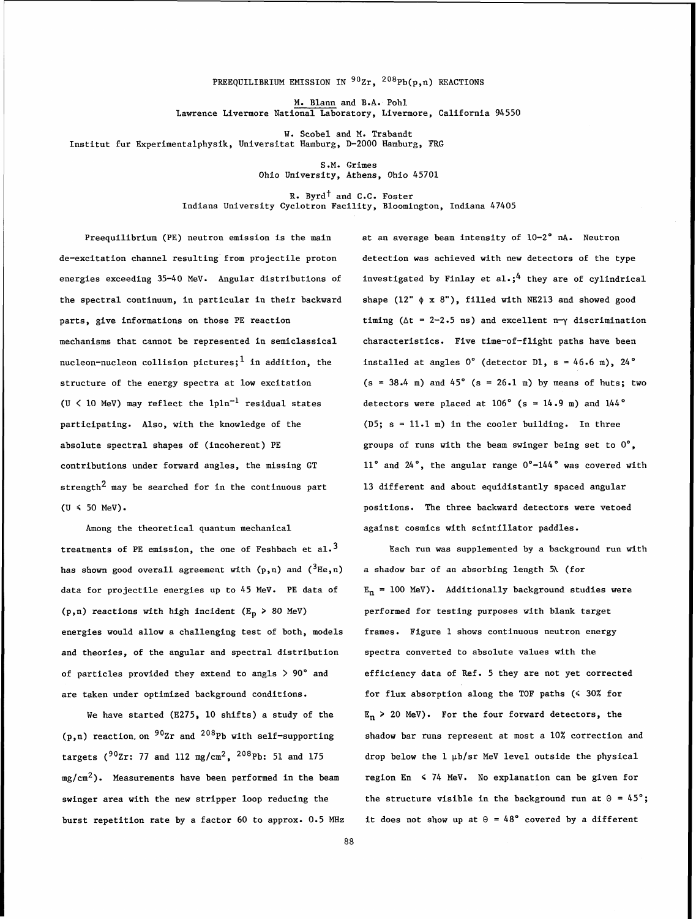## PREEQUILIBRIUM EMISSION IN  $90zr$ ,  $208Pb(p, n)$  REACTIONS

M. Blann and B.A. Pohl Lawrence Livermore National Laboratory, Livermore, California 94550

W. Scobel and M. Trabandt Institut fur Experimentalphysik, Universitat Hamburg, D-2000 Hamburg, FRG

> S.M. Grimes Ohio University, Athens, Ohio 45701

R. Byrd<sup>t</sup> and C.C. Foster Indiana University Cyclotron Facility, Bloomington, Indiana 47405

Preequilibrium (PE) neutron emission is the main at an average beam intensity of 10-2" **nA.** Neutron de-excitation channel resulting from projectile proton detection was achieved with new detectors of the type the spectral continuum, in particular in their backward shape  $(12" \phi \times 8")$ , filled with NE213 and showed good mechanisms that cannot be represented in semiclassical characteristics. Five time-of-flight paths have been nucleon-nucleon collision pictures; 1 in addition, the statudied at angles 0° (detector D1, s = 46.6 m), 24° structure of the energy spectra at low excitation (U  $\langle$  10 MeV) may reflect the 1pln<sup>-1</sup> residual states participating. Also, with the knowledge of the absolute spectral shapes of (incoherent) PE contributions under forward angles, the missing GT strength<sup>2</sup> may be searched for in the continuous part  $(U \leq 50$  MeV).

Among the theoretical quantum mechanical treatments of PE emission, the one of Feshbach et al.<sup>3</sup> has shown good overall agreement with  $(p,n)$  and  $({}^{3}He,n)$ data for projectile energies up to 45 MeV. PE data of (p,n) reactions with high incident ( $E_p$  > 80 MeV) energies would allow a challenging test of both, models and theories, of the angular and spectral distribution of particles provided they extend to angls  $> 90^{\circ}$  and are taken under optimized background conditions.

We have started (E275, 10 shifts) a study of the  $(p,n)$  reaction, on  $90Zr$  and  $208Pb$  with self-supporting targets ( $902r$ : 77 and 112 mg/cm<sup>2</sup>, <sup>208</sup>Pb: 51 and 175  $mg/cm<sup>2</sup>$ . Measurements have been performed in the beam swinger area with the new stripper loop reducing the burst repetition rate by a factor 60 to approx. 0.5 MHz

energies exceeding 35-40 MeV. Angular distributions of investigated by Finlay et al.;<sup>4</sup> they are of cylindrical parts, give informations on those PE reaction  $\qquad \qquad$  timing ( $\Delta t = 2-2.5$  ns) and excellent n- $\gamma$  discrimination  $(s = 38.4 \text{ m})$  and  $45^{\circ}$  (s = 26.1 m) by means of huts; two detectors were placed at  $106^\circ$  (s = 14.9 m) and 144 $^\circ$ (D5; **s** = 11.1 m) in the cooler building. In three groups of runs with the beam swinger being set to  $0^\circ$ , 11° and 24°, the angular range 0°-144° was covered with 13 different and about equidistantly spaced angular positions. The three backward detectors were vetoed against cosmics with scintillator paddles.

> Each run was supplemented by a background run with a shadow bar of an absorbing length **5A** (for  $E_n = 100$  MeV). Additionally background studies were performed for testing purposes with blank target frames. Figure 1 shows continuous neutron energy spectra converted to absolute values with the efficiency data of Ref. 5 they are not yet corrected for flux absorption along the TOF paths  $($   $\leq$  30% for  $E_n$  > 20 MeV). For the four forward detectors, the shadow bar runs represent at most a 10% correction and drop below the 1 pb/sr MeV level outside the physical region En < 74 MeV. No explanation can be given for the structure visible in the background run at  $\theta = 45^\circ$ ; it does not show up at  $\theta = 48^{\circ}$  covered by a different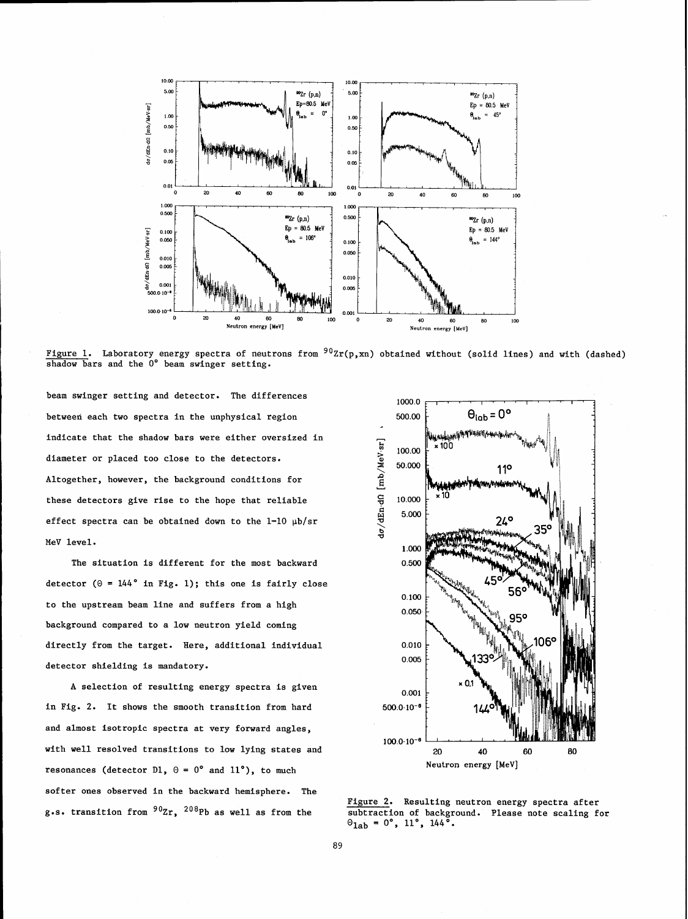

Figure 1. Laboratory energy spectra of neutrons from  $90$ Zr(p,xn) obtained without (solid lines) and with (dashed) shadow bars and the 0° beam swinger setting.

beam swinger setting and detector. The differences between each two spectra in the unphysical region indicate that the shadow bars were either oversized in diameter or placed too close to the detectors. Altogether, however, the background conditions for these detectors give rise to the hope that reliable effect spectra can be obtained down to the  $1-10$   $\mu$ b/sr MeV level.

The situation is different for the most backward detector ( $\theta = 144^{\circ}$  in Fig. 1); this one is fairly close to the upstream beam line and suffers from a high background compared to a low neutron yield coming directly from the target. Here, additional individual detector shielding is mandatory.

A selection of resulting energy spectra is given in Fig. 2. It shows the smooth transition from hard and almost isotropic spectra at very forward angles, with well resolved transitions to low lying states and resonances (detector D1,  $\theta = 0^{\circ}$  and 11°), to much softer ones observed in the backward hemisphere. The g.s. transition from  $90zr$ ,  $208Pb$  as well as from the



Figure 2. Resulting neutron energy spectra after subtraction of background. Please note scaling for  $\Theta_{1ab} = 0^{\circ}$ , 11°, 144<sup>°</sup>.